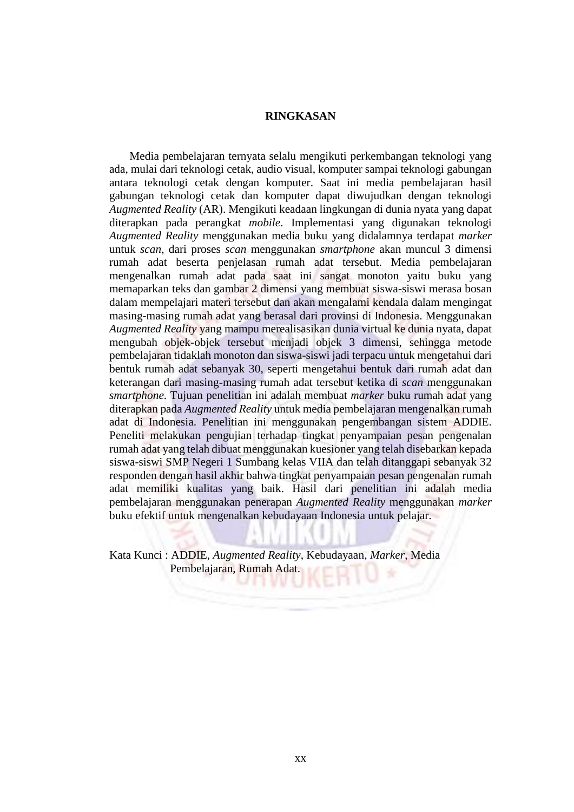## **RINGKASAN**

 Media pembelajaran ternyata selalu mengikuti perkembangan teknologi yang ada, mulai dari teknologi cetak, audio visual, komputer sampai teknologi gabungan antara teknologi cetak dengan komputer. Saat ini media pembelajaran hasil gabungan teknologi cetak dan komputer dapat diwujudkan dengan teknologi *Augmented Reality* (AR). Mengikuti keadaan lingkungan di dunia nyata yang dapat diterapkan pada perangkat *mobile*. Implementasi yang digunakan teknologi *Augmented Reality* menggunakan media buku yang didalamnya terdapat *marker* untuk *scan*, dari proses *scan* menggunakan *smartphone* akan muncul 3 dimensi rumah adat beserta penjelasan rumah adat tersebut. Media pembelajaran mengenalkan rumah adat pada saat ini sangat monoton yaitu buku yang memaparkan teks dan gambar 2 dimensi yang membuat siswa-siswi merasa bosan dalam mempelajari materi tersebut dan akan mengalami kendala dalam mengingat masing-masing rumah adat yang berasal dari provinsi di Indonesia. Menggunakan *Augmented Reality* yang mampu merealisasikan dunia virtual ke dunia nyata, dapat mengubah objek-objek tersebut menjadi objek 3 dimensi, sehingga metode pembelajaran tidaklah monoton dan siswa-siswi jadi terpacu untuk mengetahui dari bentuk rumah adat sebanyak 30, seperti mengetahui bentuk dari rumah adat dan keterangan dari masing-masing rumah adat tersebut ketika di *scan* menggunakan *smartphone*. Tujuan penelitian ini adalah membuat *marker* buku rumah adat yang diterapkan pada *Augmented Reality* untuk media pembelajaran mengenalkan rumah adat di Indonesia. Penelitian ini menggunakan pengembangan sistem ADDIE. Peneliti melakukan pengujian terhadap tingkat penyampaian pesan pengenalan rumah adat yang telah dibuat menggunakan kuesioner yang telah disebarkan kepada siswa-siswi SMP Negeri 1 Sumbang kelas VIIA dan telah ditanggapi sebanyak 32 responden dengan hasil akhir bahwa tingkat penyampaian pesan pengenalan rumah adat memiliki kualitas yang baik. Hasil dari penelitian ini adalah media pembelajaran menggunakan penerapan *Augmented Reality* menggunakan *marker*  buku efektif untuk mengenalkan kebudayaan Indonesia untuk pelajar.

Kata Kunci : ADDIE, *Augmented Reality*, Kebudayaan, *Marker*, Media Pembelajaran, Rumah Adat.